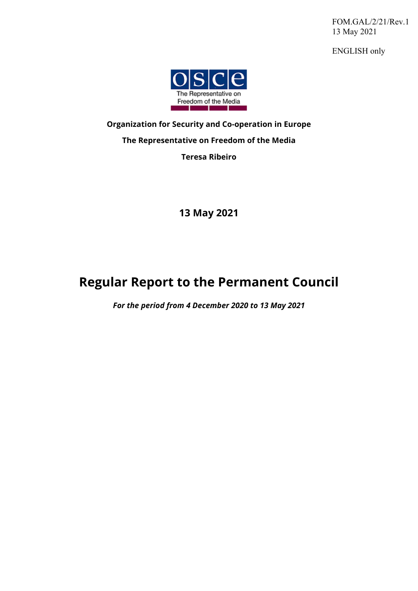FOM.GAL/2/21/Rev.1 13 May 2021

ENGLISH only



## **Organization for Security and Co-operation in Europe The Representative on Freedom of the Media Teresa Ribeiro**

**13 May 2021** 

# **Regular Report to the Permanent Council**

*For the period from 4 December 2020 to 13 May 2021*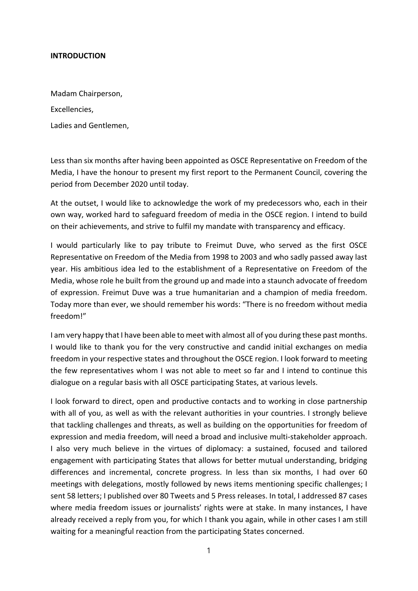#### **INTRODUCTION**

Madam Chairperson, Excellencies, Ladies and Gentlemen,

Less than six months after having been appointed as OSCE Representative on Freedom of the Media, I have the honour to present my first report to the Permanent Council, covering the period from December 2020 until today.

At the outset, I would like to acknowledge the work of my predecessors who, each in their own way, worked hard to safeguard freedom of media in the OSCE region. I intend to build on their achievements, and strive to fulfil my mandate with transparency and efficacy.

I would particularly like to pay tribute to Freimut Duve, who served as the first OSCE Representative on Freedom of the Media from 1998 to 2003 and who sadly passed away last year. His ambitious idea led to the establishment of a Representative on Freedom of the Media, whose role he built from the ground up and made into a staunch advocate of freedom of expression. Freimut Duve was a true humanitarian and a champion of media freedom. Today more than ever, we should remember his words: "There is no freedom without media freedom!"

I am very happy that I have been able to meet with almost all of you during these past months. I would like to thank you for the very constructive and candid initial exchanges on media freedom in your respective states and throughout the OSCE region. I look forward to meeting the few representatives whom I was not able to meet so far and I intend to continue this dialogue on a regular basis with all OSCE participating States, at various levels.

I look forward to direct, open and productive contacts and to working in close partnership with all of you, as well as with the relevant authorities in your countries. I strongly believe that tackling challenges and threats, as well as building on the opportunities for freedom of expression and media freedom, will need a broad and inclusive multi‐stakeholder approach. I also very much believe in the virtues of diplomacy: a sustained, focused and tailored engagement with participating States that allows for better mutual understanding, bridging differences and incremental, concrete progress. In less than six months, I had over 60 meetings with delegations, mostly followed by news items mentioning specific challenges; I sent 58 letters; I published over 80 Tweets and 5 Press releases. In total, I addressed 87 cases where media freedom issues or journalists' rights were at stake. In many instances, I have already received a reply from you, for which I thank you again, while in other cases I am still waiting for a meaningful reaction from the participating States concerned.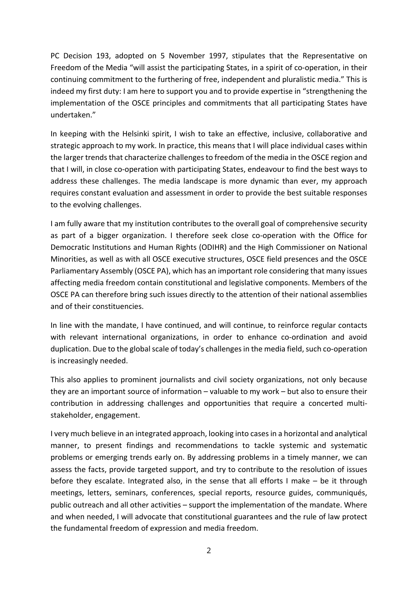PC Decision 193, adopted on 5 November 1997, stipulates that the Representative on Freedom of the Media "will assist the participating States, in a spirit of co-operation, in their continuing commitment to the furthering of free, independent and pluralistic media." This is indeed my first duty: I am here to support you and to provide expertise in "strengthening the implementation of the OSCE principles and commitments that all participating States have undertaken."

In keeping with the Helsinki spirit, I wish to take an effective, inclusive, collaborative and strategic approach to my work. In practice, this means that I will place individual cases within the larger trends that characterize challenges to freedom of the media in the OSCE region and that I will, in close co-operation with participating States, endeavour to find the best ways to address these challenges. The media landscape is more dynamic than ever, my approach requires constant evaluation and assessment in order to provide the best suitable responses to the evolving challenges.

I am fully aware that my institution contributes to the overall goal of comprehensive security as part of a bigger organization. I therefore seek close co-operation with the Office for Democratic Institutions and Human Rights (ODIHR) and the High Commissioner on National Minorities, as well as with all OSCE executive structures, OSCE field presences and the OSCE Parliamentary Assembly (OSCE PA), which has an important role considering that many issues affecting media freedom contain constitutional and legislative components. Members of the OSCE PA can therefore bring such issues directly to the attention of their national assemblies and of their constituencies.

In line with the mandate, I have continued, and will continue, to reinforce regular contacts with relevant international organizations, in order to enhance co-ordination and avoid duplication. Due to the global scale of today's challenges in the media field, such co-operation is increasingly needed.

This also applies to prominent journalists and civil society organizations, not only because they are an important source of information – valuable to my work – but also to ensure their contribution in addressing challenges and opportunities that require a concerted multi‐ stakeholder, engagement.

I very much believe in an integrated approach, looking into casesin a horizontal and analytical manner, to present findings and recommendations to tackle systemic and systematic problems or emerging trends early on. By addressing problems in a timely manner, we can assess the facts, provide targeted support, and try to contribute to the resolution of issues before they escalate. Integrated also, in the sense that all efforts I make – be it through meetings, letters, seminars, conferences, special reports, resource guides, communiqués, public outreach and all other activities – support the implementation of the mandate. Where and when needed, I will advocate that constitutional guarantees and the rule of law protect the fundamental freedom of expression and media freedom.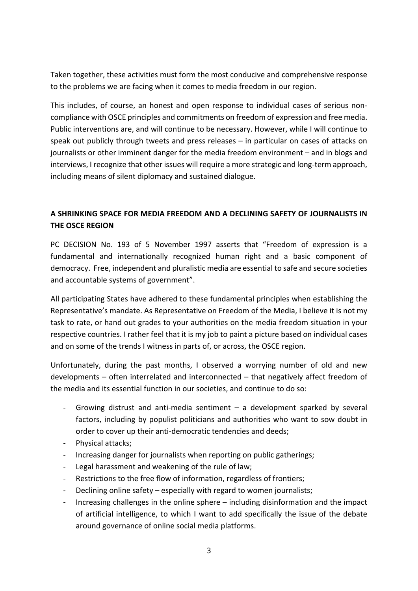Taken together, these activities must form the most conducive and comprehensive response to the problems we are facing when it comes to media freedom in our region.

This includes, of course, an honest and open response to individual cases of serious non‐ compliance with OSCE principles and commitments on freedom of expression and free media. Public interventions are, and will continue to be necessary. However, while I will continue to speak out publicly through tweets and press releases – in particular on cases of attacks on journalists or other imminent danger for the media freedom environment – and in blogs and interviews, I recognize that other issues will require a more strategic and long-term approach, including means of silent diplomacy and sustained dialogue.

### **A SHRINKING SPACE FOR MEDIA FREEDOM AND A DECLINING SAFETY OF JOURNALISTS IN THE OSCE REGION**

PC DECISION No. 193 of 5 November 1997 asserts that "Freedom of expression is a fundamental and internationally recognized human right and a basic component of democracy. Free, independent and pluralistic media are essential to safe and secure societies and accountable systems of government".

All participating States have adhered to these fundamental principles when establishing the Representative's mandate. As Representative on Freedom of the Media, I believe it is not my task to rate, or hand out grades to your authorities on the media freedom situation in your respective countries. I rather feel that it is my job to paint a picture based on individual cases and on some of the trends I witness in parts of, or across, the OSCE region.

Unfortunately, during the past months, I observed a worrying number of old and new developments – often interrelated and interconnected – that negatively affect freedom of the media and its essential function in our societies, and continue to do so:

- Growing distrust and anti-media sentiment  $-$  a development sparked by several factors, including by populist politicians and authorities who want to sow doubt in order to cover up their anti‐democratic tendencies and deeds;
- ‐ Physical attacks;
- ‐ Increasing danger for journalists when reporting on public gatherings;
- ‐ Legal harassment and weakening of the rule of law;
- ‐ Restrictions to the free flow of information, regardless of frontiers;
- Declining online safety especially with regard to women journalists;
- ‐ Increasing challenges in the online sphere including disinformation and the impact of artificial intelligence, to which I want to add specifically the issue of the debate around governance of online social media platforms.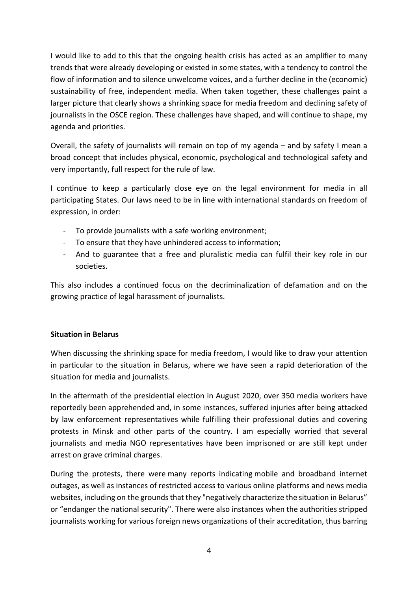I would like to add to this that the ongoing health crisis has acted as an amplifier to many trends that were already developing or existed in some states, with a tendency to control the flow of information and to silence unwelcome voices, and a further decline in the (economic) sustainability of free, independent media. When taken together, these challenges paint a larger picture that clearly shows a shrinking space for media freedom and declining safety of journalists in the OSCE region. These challenges have shaped, and will continue to shape, my agenda and priorities.

Overall, the safety of journalists will remain on top of my agenda – and by safety I mean a broad concept that includes physical, economic, psychological and technological safety and very importantly, full respect for the rule of law.

I continue to keep a particularly close eye on the legal environment for media in all participating States. Our laws need to be in line with international standards on freedom of expression, in order:

- ‐ To provide journalists with a safe working environment;
- ‐ To ensure that they have unhindered access to information;
- ‐ And to guarantee that a free and pluralistic media can fulfil their key role in our societies.

This also includes a continued focus on the decriminalization of defamation and on the growing practice of legal harassment of journalists.

#### **Situation in Belarus**

When discussing the shrinking space for media freedom, I would like to draw your attention in particular to the situation in Belarus, where we have seen a rapid deterioration of the situation for media and journalists.

In the aftermath of the presidential election in August 2020, over 350 media workers have reportedly been apprehended and, in some instances, suffered injuries after being attacked by law enforcement representatives while fulfilling their professional duties and covering protests in Minsk and other parts of the country. I am especially worried that several journalists and media NGO representatives have been imprisoned or are still kept under arrest on grave criminal charges.

During the protests, there were many reports indicating mobile and broadband internet outages, as well as instances of restricted access to various online platforms and news media websites, including on the grounds that they "negatively characterize the situation in Belarus" or "endanger the national security". There were also instances when the authorities stripped journalists working for various foreign news organizations of their accreditation, thus barring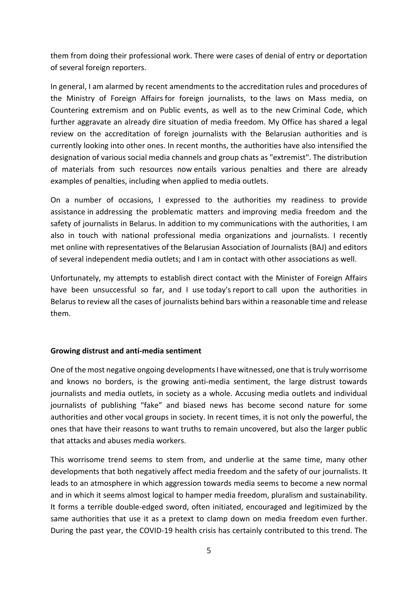them from doing their professional work. There were cases of denial of entry or deportation of several foreign reporters.

In general, I am alarmed by recent amendments to the accreditation rules and procedures of the Ministry of Foreign Affairs for foreign journalists, to the laws on Mass media, on Countering extremism and on Public events, as well as to the new Criminal Code, which further aggravate an already dire situation of media freedom. My Office has shared a legal review on the accreditation of foreign journalists with the Belarusian authorities and is currently looking into other ones. In recent months, the authorities have also intensified the designation of various social media channels and group chats as "extremist". The distribution of materials from such resources now entails various penalties and there are already examples of penalties, including when applied to media outlets.

On a number of occasions, I expressed to the authorities my readiness to provide assistance in addressing the problematic matters and improving media freedom and the safety of journalists in Belarus. In addition to my communications with the authorities, I am also in touch with national professional media organizations and journalists. I recently met online with representatives of the Belarusian Association of Journalists (BAJ) and editors of several independent media outlets; and I am in contact with other associations as well.

Unfortunately, my attempts to establish direct contact with the Minister of Foreign Affairs have been unsuccessful so far, and I use today's report to call upon the authorities in Belarus to review all the cases of journalists behind bars within a reasonable time and release them.

#### **Growing distrust and anti‐media sentiment**

One of the most negative ongoing developments I have witnessed, one that is truly worrisome and knows no borders, is the growing anti‐media sentiment, the large distrust towards journalists and media outlets, in society as a whole. Accusing media outlets and individual journalists of publishing "fake" and biased news has become second nature for some authorities and other vocal groups in society. In recent times, it is not only the powerful, the ones that have their reasons to want truths to remain uncovered, but also the larger public that attacks and abuses media workers.

This worrisome trend seems to stem from, and underlie at the same time, many other developments that both negatively affect media freedom and the safety of our journalists. It leads to an atmosphere in which aggression towards media seems to become a new normal and in which it seems almost logical to hamper media freedom, pluralism and sustainability. It forms a terrible double‐edged sword, often initiated, encouraged and legitimized by the same authorities that use it as a pretext to clamp down on media freedom even further. During the past year, the COVID‐19 health crisis has certainly contributed to this trend. The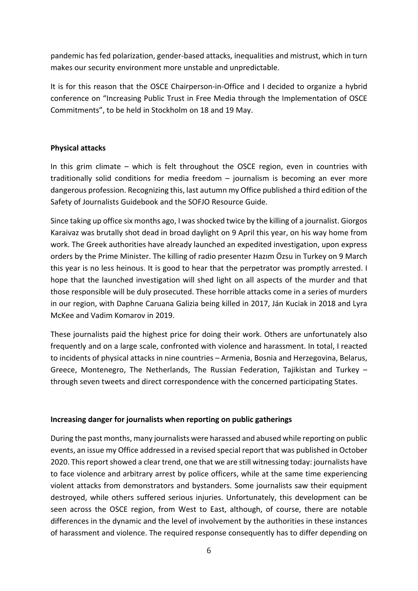pandemic has fed polarization, gender‐based attacks, inequalities and mistrust, which in turn makes our security environment more unstable and unpredictable.

It is for this reason that the OSCE Chairperson-in-Office and I decided to organize a hybrid conference on "Increasing Public Trust in Free Media through the Implementation of OSCE Commitments", to be held in Stockholm on 18 and 19 May.

#### **Physical attacks**

In this grim climate – which is felt throughout the OSCE region, even in countries with traditionally solid conditions for media freedom – journalism is becoming an ever more dangerous profession. Recognizing this, last autumn my Office published a third edition of the Safety of Journalists Guidebook and the SOFJO Resource Guide.

Since taking up office six months ago, I was shocked twice by the killing of a journalist. Giorgos Karaivaz was brutally shot dead in broad daylight on 9 April this year, on his way home from work. The Greek authorities have already launched an expedited investigation, upon express orders by the Prime Minister. The killing of radio presenter Hazım Özsu in Turkey on 9 March this year is no less heinous. It is good to hear that the perpetrator was promptly arrested. I hope that the launched investigation will shed light on all aspects of the murder and that those responsible will be duly prosecuted. These horrible attacks come in a series of murders in our region, with Daphne Caruana Galizia being killed in 2017, Ján Kuciak in 2018 and Lyra McKee and Vadim Komarov in 2019.

These journalists paid the highest price for doing their work. Others are unfortunately also frequently and on a large scale, confronted with violence and harassment. In total, I reacted to incidents of physical attacks in nine countries – Armenia, Bosnia and Herzegovina, Belarus, Greece, Montenegro, The Netherlands, The Russian Federation, Tajikistan and Turkey – through seven tweets and direct correspondence with the concerned participating States.

#### **Increasing danger for journalists when reporting on public gatherings**

During the past months, many journalists were harassed and abused while reporting on public events, an issue my Office addressed in a revised special report that was published in October 2020. This report showed a clear trend, one that we are still witnessing today: journalists have to face violence and arbitrary arrest by police officers, while at the same time experiencing violent attacks from demonstrators and bystanders. Some journalists saw their equipment destroyed, while others suffered serious injuries. Unfortunately, this development can be seen across the OSCE region, from West to East, although, of course, there are notable differences in the dynamic and the level of involvement by the authorities in these instances of harassment and violence. The required response consequently has to differ depending on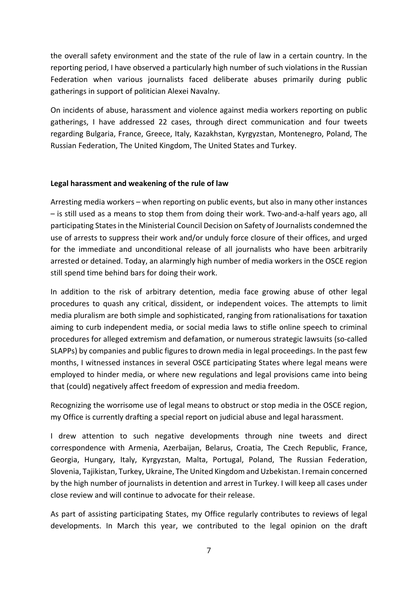the overall safety environment and the state of the rule of law in a certain country. In the reporting period, I have observed a particularly high number of such violations in the Russian Federation when various journalists faced deliberate abuses primarily during public gatherings in support of politician Alexei Navalny.

On incidents of abuse, harassment and violence against media workers reporting on public gatherings, I have addressed 22 cases, through direct communication and four tweets regarding Bulgaria, France, Greece, Italy, Kazakhstan, Kyrgyzstan, Montenegro, Poland, The Russian Federation, The United Kingdom, The United States and Turkey.

#### **Legal harassment and weakening of the rule of law**

Arresting media workers – when reporting on public events, but also in many other instances – is still used as a means to stop them from doing their work. Two‐and‐a‐half years ago, all participating States in the Ministerial Council Decision on Safety of Journalists condemned the use of arrests to suppress their work and/or unduly force closure of their offices, and urged for the immediate and unconditional release of all journalists who have been arbitrarily arrested or detained. Today, an alarmingly high number of media workers in the OSCE region still spend time behind bars for doing their work.

In addition to the risk of arbitrary detention, media face growing abuse of other legal procedures to quash any critical, dissident, or independent voices. The attempts to limit media pluralism are both simple and sophisticated, ranging from rationalisations for taxation aiming to curb independent media, or social media laws to stifle online speech to criminal procedures for alleged extremism and defamation, or numerous strategic lawsuits (so‐called SLAPPs) by companies and public figures to drown media in legal proceedings. In the past few months, I witnessed instances in several OSCE participating States where legal means were employed to hinder media, or where new regulations and legal provisions came into being that (could) negatively affect freedom of expression and media freedom.

Recognizing the worrisome use of legal means to obstruct or stop media in the OSCE region, my Office is currently drafting a special report on judicial abuse and legal harassment.

I drew attention to such negative developments through nine tweets and direct correspondence with Armenia, Azerbaijan, Belarus, Croatia, The Czech Republic, France, Georgia, Hungary, Italy, Kyrgyzstan, Malta, Portugal, Poland, The Russian Federation, Slovenia, Tajikistan, Turkey, Ukraine, The United Kingdom and Uzbekistan. Iremain concerned by the high number of journalists in detention and arrest in Turkey. I will keep all cases under close review and will continue to advocate for their release.

As part of assisting participating States, my Office regularly contributes to reviews of legal developments. In March this year, we contributed to the legal opinion on the draft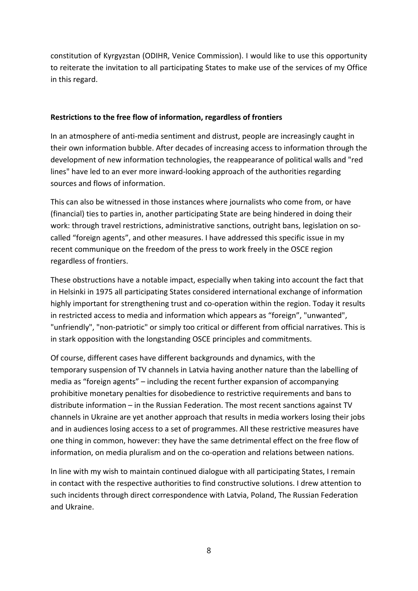constitution of Kyrgyzstan (ODIHR, Venice Commission). I would like to use this opportunity to reiterate the invitation to all participating States to make use of the services of my Office in this regard.

#### **Restrictions to the free flow of information, regardless of frontiers**

In an atmosphere of anti-media sentiment and distrust, people are increasingly caught in their own information bubble. After decades of increasing access to information through the development of new information technologies, the reappearance of political walls and "red lines" have led to an ever more inward‐looking approach of the authorities regarding sources and flows of information.

This can also be witnessed in those instances where journalists who come from, or have (financial) ties to parties in, another participating State are being hindered in doing their work: through travel restrictions, administrative sanctions, outright bans, legislation on socalled "foreign agents", and other measures. I have addressed this specific issue in my recent communique on the freedom of the press to work freely in the OSCE region regardless of frontiers.

These obstructions have a notable impact, especially when taking into account the fact that in Helsinki in 1975 all participating States considered international exchange of information highly important for strengthening trust and co-operation within the region. Today it results in restricted access to media and information which appears as "foreign", "unwanted", "unfriendly", "non‐patriotic" or simply too critical or different from official narratives. This is in stark opposition with the longstanding OSCE principles and commitments.

Of course, different cases have different backgrounds and dynamics, with the temporary suspension of TV channels in Latvia having another nature than the labelling of media as "foreign agents" – including the recent further expansion of accompanying prohibitive monetary penalties for disobedience to restrictive requirements and bans to distribute information – in the Russian Federation. The most recent sanctions against TV channels in Ukraine are yet another approach that results in media workers losing their jobs and in audiences losing access to a set of programmes. All these restrictive measures have one thing in common, however: they have the same detrimental effect on the free flow of information, on media pluralism and on the co-operation and relations between nations.

In line with my wish to maintain continued dialogue with all participating States, I remain in contact with the respective authorities to find constructive solutions. I drew attention to such incidents through direct correspondence with Latvia, Poland, The Russian Federation and Ukraine.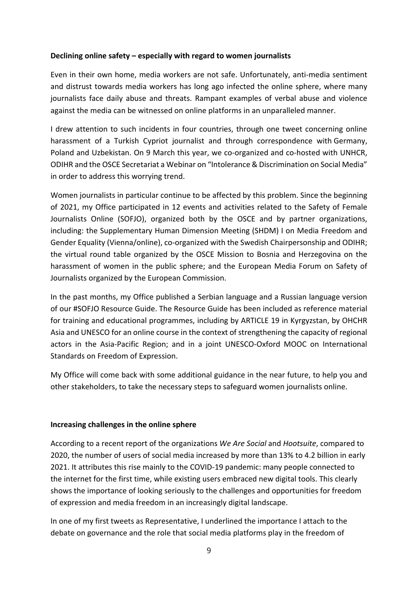#### **Declining online safety – especially with regard to women journalists**

Even in their own home, media workers are not safe. Unfortunately, anti‐media sentiment and distrust towards media workers has long ago infected the online sphere, where many journalists face daily abuse and threats. Rampant examples of verbal abuse and violence against the media can be witnessed on online platforms in an unparalleled manner.

I drew attention to such incidents in four countries, through one tweet concerning online harassment of a Turkish Cypriot journalist and through correspondence with Germany, Poland and Uzbekistan. On 9 March this year, we co-organized and co-hosted with UNHCR, ODIHR and the OSCE Secretariat a Webinar on "Intolerance & Discrimination on Social Media" in order to address this worrying trend.

Women journalists in particular continue to be affected by this problem. Since the beginning of 2021, my Office participated in 12 events and activities related to the Safety of Female Journalists Online (SOFJO), organized both by the OSCE and by partner organizations, including: the Supplementary Human Dimension Meeting (SHDM) I on Media Freedom and Gender Equality (Vienna/online), co-organized with the Swedish Chairpersonship and ODIHR; the virtual round table organized by the OSCE Mission to Bosnia and Herzegovina on the harassment of women in the public sphere; and the European Media Forum on Safety of Journalists organized by the European Commission.

In the past months, my Office published a Serbian language and a Russian language version of our #SOFJO Resource Guide. The Resource Guide has been included as reference material for training and educational programmes, including by ARTICLE 19 in Kyrgyzstan, by OHCHR Asia and UNESCO for an online course in the context of strengthening the capacity of regional actors in the Asia‐Pacific Region; and in a joint UNESCO‐Oxford MOOC on International Standards on Freedom of Expression.

My Office will come back with some additional guidance in the near future, to help you and other stakeholders, to take the necessary steps to safeguard women journalists online.

#### **Increasing challenges in the online sphere**

According to a recent report of the organizations *We Are Social* and *Hootsuite*, compared to 2020, the number of users of social media increased by more than 13% to 4.2 billion in early 2021. It attributes this rise mainly to the COVID‐19 pandemic: many people connected to the internet for the first time, while existing users embraced new digital tools. This clearly shows the importance of looking seriously to the challenges and opportunities for freedom of expression and media freedom in an increasingly digital landscape.

In one of my first tweets as Representative, I underlined the importance I attach to the debate on governance and the role that social media platforms play in the freedom of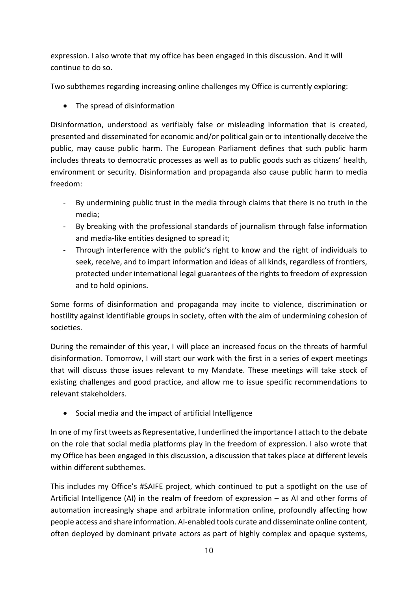expression. I also wrote that my office has been engaged in this discussion. And it will continue to do so.

Two subthemes regarding increasing online challenges my Office is currently exploring:

• The spread of disinformation

Disinformation, understood as verifiably false or misleading information that is created, presented and disseminated for economic and/or political gain or to intentionally deceive the public, may cause public harm. The European Parliament defines that such public harm includes threats to democratic processes as well as to public goods such as citizens' health, environment or security. Disinformation and propaganda also cause public harm to media freedom:

- By undermining public trust in the media through claims that there is no truth in the media;
- ‐ By breaking with the professional standards of journalism through false information and media-like entities designed to spread it;
- ‐ Through interference with the public's right to know and the right of individuals to seek, receive, and to impart information and ideas of all kinds, regardless of frontiers, protected under international legal guarantees of the rights to freedom of expression and to hold opinions.

Some forms of disinformation and propaganda may incite to violence, discrimination or hostility against identifiable groups in society, often with the aim of undermining cohesion of societies.

During the remainder of this year, I will place an increased focus on the threats of harmful disinformation. Tomorrow, I will start our work with the first in a series of expert meetings that will discuss those issues relevant to my Mandate. These meetings will take stock of existing challenges and good practice, and allow me to issue specific recommendations to relevant stakeholders.

Social media and the impact of artificial Intelligence

In one of my first tweets as Representative, I underlined the importance I attach to the debate on the role that social media platforms play in the freedom of expression. I also wrote that my Office has been engaged in this discussion, a discussion that takes place at different levels within different subthemes.

This includes my Office's #SAIFE project, which continued to put a spotlight on the use of Artificial Intelligence (AI) in the realm of freedom of expression – as AI and other forms of automation increasingly shape and arbitrate information online, profoundly affecting how people access and share information. AI‐enabled tools curate and disseminate online content, often deployed by dominant private actors as part of highly complex and opaque systems,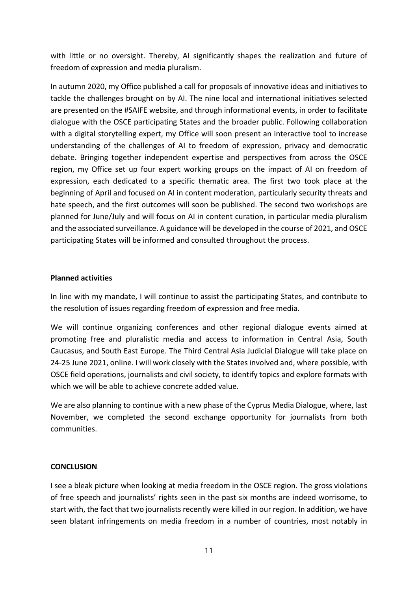with little or no oversight. Thereby, AI significantly shapes the realization and future of freedom of expression and media pluralism.

In autumn 2020, my Office published a call for proposals of innovative ideas and initiatives to tackle the challenges brought on by AI. The nine local and international initiatives selected are presented on the #SAIFE website, and through informational events, in order to facilitate dialogue with the OSCE participating States and the broader public. Following collaboration with a digital storytelling expert, my Office will soon present an interactive tool to increase understanding of the challenges of AI to freedom of expression, privacy and democratic debate. Bringing together independent expertise and perspectives from across the OSCE region, my Office set up four expert working groups on the impact of AI on freedom of expression, each dedicated to a specific thematic area. The first two took place at the beginning of April and focused on AI in content moderation, particularly security threats and hate speech, and the first outcomes will soon be published. The second two workshops are planned for June/July and will focus on AI in content curation, in particular media pluralism and the associated surveillance. A guidance will be developed in the course of 2021, and OSCE participating States will be informed and consulted throughout the process.

#### **Planned activities**

In line with my mandate, I will continue to assist the participating States, and contribute to the resolution of issues regarding freedom of expression and free media.

We will continue organizing conferences and other regional dialogue events aimed at promoting free and pluralistic media and access to information in Central Asia, South Caucasus, and South East Europe. The Third Central Asia Judicial Dialogue will take place on 24‐25 June 2021, online. I will work closely with the States involved and, where possible, with OSCE field operations, journalists and civil society, to identify topics and explore formats with which we will be able to achieve concrete added value.

We are also planning to continue with a new phase of the Cyprus Media Dialogue, where, last November, we completed the second exchange opportunity for journalists from both communities.

#### **CONCLUSION**

I see a bleak picture when looking at media freedom in the OSCE region. The gross violations of free speech and journalists' rights seen in the past six months are indeed worrisome, to start with, the fact that two journalists recently were killed in our region. In addition, we have seen blatant infringements on media freedom in a number of countries, most notably in